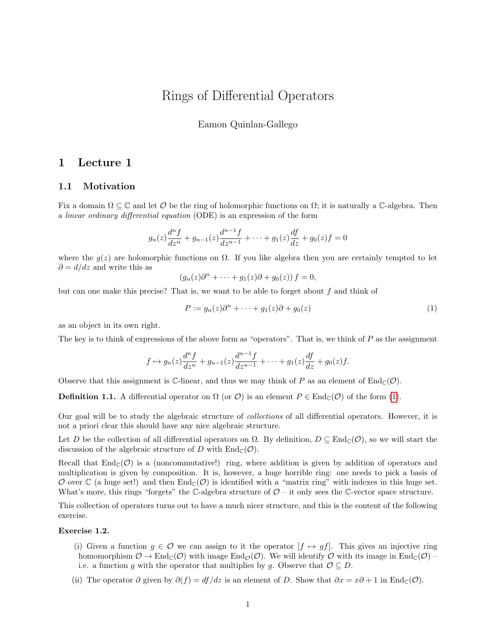# Rings of Differential Operators

Eamon Quinlan-Gallego

## 1 Lecture 1

### 1.1 Motivation

Fix a domain  $\Omega \subseteq \mathbb{C}$  and let  $\mathcal{O}$  be the ring of holomorphic functions on  $\Omega$ ; it is naturally a  $\mathbb{C}$ -algebra. Then a linear ordinary differential equation (ODE) is an expression of the form

$$
g_n(z)\frac{d^n f}{dz^n} + g_{n-1}(z)\frac{d^{n-1} f}{dz^{n-1}} + \dots + g_1(z)\frac{df}{dz} + g_0(z)f = 0
$$

where the  $g(z)$  are holomorphic functions on  $\Omega$ . If you like algebra then you are certainly tempted to let  $\partial = d/dz$  and write this as

$$
(g_n(z)\partial^n + \cdots + g_1(z)\partial + g_0(z)) f = 0,
$$

but can one make this precise? That is, we want to be able to forget about  $f$  and think of

<span id="page-0-0"></span>
$$
P := g_n(z)\partial^n + \dots + g_1(z)\partial + g_0(z)
$$
\n<sup>(1)</sup>

as an object in its own right.

The key is to think of expressions of the above form as "operators". That is, we think of P as the assignment

$$
f \mapsto g_n(z) \frac{d^n f}{dz^n} + g_{n-1}(z) \frac{d^{n-1} f}{dz^{n-1}} + \dots + g_1(z) \frac{df}{dz} + g_0(z) f.
$$

Observe that this assignment is C-linear, and thus we may think of P as an element of  $\text{End}_{\mathbb{C}}(\mathcal{O})$ .

**Definition 1.1.** A differential operator on  $\Omega$  (or  $\mathcal{O}$ ) is an element  $P \in \text{End}_{\mathbb{C}}(\mathcal{O})$  of the form [\(1\)](#page-0-0).

Our goal will be to study the algebraic structure of collections of all differential operators. However, it is not a priori clear this should have any nice algebraic structure.

Let D be the collection of all differential operators on  $\Omega$ . By definition,  $D \subseteq \text{End}_{\mathbb{C}}(\mathcal{O})$ , so we will start the discussion of the algebraic structure of D with  $\text{End}_{\mathbb{C}}(\mathcal{O})$ .

Recall that  $\text{End}_{\mathbb{C}}(\mathcal{O})$  is a (noncommutative!) ring, where addition is given by addition of operators and multiplication is given by composition. It is, however, a huge horrible ring: one needs to pick a basis of O over  $\mathbb C$  (a huge set!) and then  $\text{End}_{\mathbb C}(\mathcal O)$  is identified with a "matrix ring" with indexes in this huge set. What's more, this rings "forgets" the C-algebra structure of  $\mathcal{O}$  – it only sees the C-vector space structure.

This collection of operators turns out to have a much nicer structure, and this is the content of the following exercise.

#### Exercise 1.2.

- (i) Given a function  $g \in \mathcal{O}$  we can assign to it the operator  $[f \mapsto gf]$ . This gives an injective ring homomorphism  $\mathcal{O} \to \text{End}_{\mathbb{C}}(\mathcal{O})$  with image  $\text{End}_{\mathcal{O}}(\mathcal{O})$ . We will identify  $\mathcal{O}$  with its image in  $\text{End}_{\mathbb{C}}(\mathcal{O})$  – i.e. a function g with the operator that multiplies by g. Observe that  $\mathcal{O} \subseteq D$ .
- (ii) The operator  $\partial$  given by  $\partial(f) = df/dz$  is an element of D. Show that  $\partial x = x\partial + 1$  in End<sub>C</sub>( $\mathcal{O}$ ).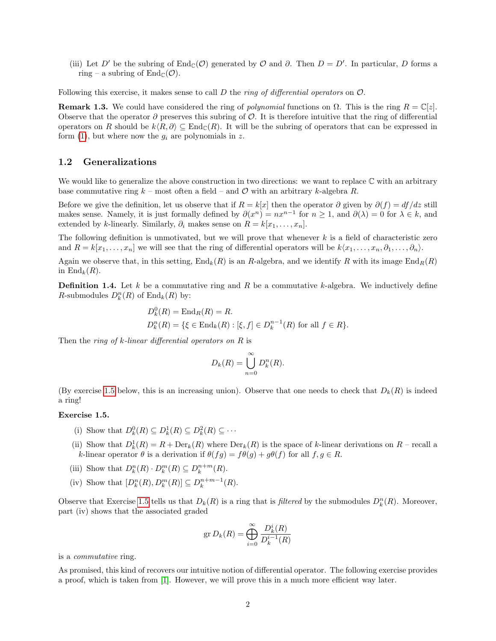(iii) Let D' be the subring of  $\text{End}_{\mathbb{C}}(\mathcal{O})$  generated by  $\mathcal{O}$  and  $\partial$ . Then  $D = D'$ . In particular, D forms a ring – a subring of  $\text{End}_{\mathbb{C}}(\mathcal{O})$ .

Following this exercise, it makes sense to call  $D$  the *ring of differential operators* on  $\mathcal{O}$ .

**Remark 1.3.** We could have considered the ring of *polynomial* functions on  $\Omega$ . This is the ring  $R = \mathbb{C}[z]$ . Observe that the operator  $\partial$  preserves this subring of  $\mathcal O$ . It is therefore intuitive that the ring of differential operators on R should be  $k\langle R, \partial \rangle \subseteq \text{End}_{\mathbb{C}}(R)$ . It will be the subring of operators that can be expressed in form [\(1\)](#page-0-0), but where now the  $g_i$  are polynomials in z.

#### 1.2 Generalizations

We would like to generalize the above construction in two directions: we want to replace  $\mathbb C$  with an arbitrary base commutative ring  $k$  – most often a field – and  $\mathcal O$  with an arbitrary k-algebra R.

Before we give the definition, let us observe that if  $R = k[x]$  then the operator  $\partial$  given by  $\partial(f) = df/dz$  still makes sense. Namely, it is just formally defined by  $\partial(x^n) = nx^{n-1}$  for  $n \ge 1$ , and  $\partial(\lambda) = 0$  for  $\lambda \in k$ , and extended by k-linearly. Similarly,  $\partial_i$  makes sense on  $R = k[x_1, \ldots, x_n]$ .

The following definition is unmotivated, but we will prove that whenever  $k$  is a field of characteristic zero and  $R = k[x_1, \ldots, x_n]$  we will see that the ring of differential operators will be  $k\langle x_1, \ldots, x_n, \partial_1, \ldots, \partial_n \rangle$ .

Again we observe that, in this setting,  $\text{End}_k(R)$  is an R-algebra, and we identify R with its image  $\text{End}_R(R)$ in  $\text{End}_k(R)$ .

**Definition 1.4.** Let k be a commutative ring and R be a commutative k-algebra. We inductively define R-submodules  $D_k^n(R)$  of  $\text{End}_k(R)$  by:

$$
D_k^0(R) = \text{End}_R(R) = R.
$$
  

$$
D_k^n(R) = \{ \xi \in \text{End}_k(R) : [\xi, f] \in D_k^{n-1}(R) \text{ for all } f \in R \}.
$$

Then the *ring of k-linear differential operators on R* is

$$
D_k(R) = \bigcup_{n=0}^{\infty} D_k^n(R).
$$

(By exercise [1.5](#page-1-0) below, this is an increasing union). Observe that one needs to check that  $D_k(R)$  is indeed a ring!

#### <span id="page-1-0"></span>Exercise 1.5.

- (i) Show that  $D_k^0(R) \subseteq D_k^1(R) \subseteq D_k^2(R) \subseteq \cdots$
- (ii) Show that  $D_k^1(R) = R + \text{Der}_k(R)$  where  $\text{Der}_k(R)$  is the space of k-linear derivations on  $R$  recall a k-linear operator  $\theta$  is a derivation if  $\theta(fg) = f\theta(g) + g\theta(f)$  for all  $f, g \in R$ .
- (iii) Show that  $D_k^n(R) \cdot D_k^m(R) \subseteq D_k^{n+m}(R)$ .
- (iv) Show that  $[D_k^n(R), D_k^m(R)] \subseteq D_k^{n+m-1}(R)$ .

Observe that Exercise [1.5](#page-1-0) tells us that  $D_k(R)$  is a ring that is *filtered* by the submodules  $D_k^n(R)$ . Moreover, part (iv) shows that the associated graded

$$
\operatorname{gr} D_k(R) = \bigoplus_{i=0}^{\infty} \frac{D_k^i(R)}{D_k^{i-1}(R)}
$$

is a commutative ring.

As promised, this kind of recovers our intuitive notion of differential operator. The following exercise provides a proof, which is taken from [\[1\]](#page-15-0). However, we will prove this in a much more efficient way later.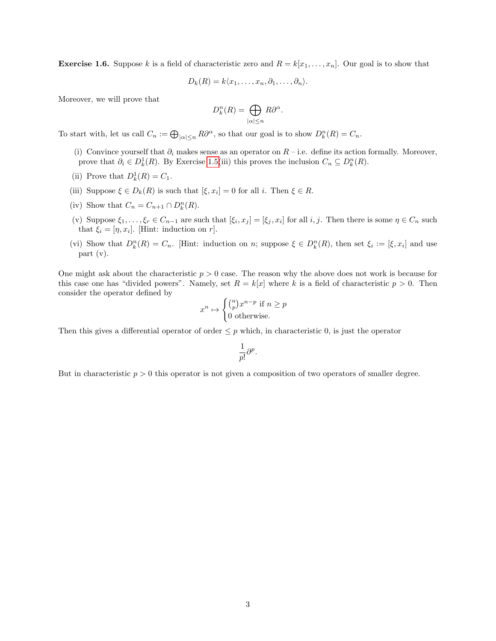**Exercise 1.6.** Suppose k is a field of characteristic zero and  $R = k[x_1, \ldots, x_n]$ . Our goal is to show that

$$
D_k(R) = k \langle x_1, \ldots, x_n, \partial_1, \ldots, \partial_n \rangle.
$$

Moreover, we will prove that

$$
D_k^n(R) = \bigoplus_{|\alpha| \le n} R\partial^{\alpha}.
$$

To start with, let us call  $C_n := \bigoplus_{|\alpha| \le n} R\partial^{\alpha}$ , so that our goal is to show  $D_k^n(R) = C_n$ .

- (i) Convince yourself that  $\partial_i$  makes sense as an operator on  $R$  i.e. define its action formally. Moreover, prove that  $\partial_i \in D^1_k(R)$ . By Exercise [1.5\(](#page-1-0)iii) this proves the inclusion  $C_n \subseteq D^n_k(R)$ .
- (ii) Prove that  $D_k^1(R) = C_1$ .
- (iii) Suppose  $\xi \in D_k(R)$  is such that  $[\xi, x_i] = 0$  for all i. Then  $\xi \in R$ .
- (iv) Show that  $C_n = C_{n+1} \cap D_k^n(R)$ .
- (v) Suppose  $\xi_1,\ldots,\xi_r\in C_{n-1}$  are such that  $[\xi_i,x_j]=[\xi_j,x_i]$  for all  $i,j$ . Then there is some  $\eta\in C_n$  such that  $\xi_i = [\eta, x_i]$ . [Hint: induction on r].
- (vi) Show that  $D_k^n(R) = C_n$ . [Hint: induction on n; suppose  $\xi \in D_k^n(R)$ , then set  $\xi_i := [\xi, x_i]$  and use part (v).

One might ask about the characteristic  $p > 0$  case. The reason why the above does not work is because for this case one has "divided powers". Namely, set  $R = k[x]$  where k is a field of characteristic  $p > 0$ . Then consider the operator defined by

$$
x^n \mapsto \begin{cases} \binom{n}{p} x^{n-p} & \text{if } n \ge p \\ 0 & \text{otherwise.} \end{cases}
$$

Then this gives a differential operator of order  $\leq p$  which, in characteristic 0, is just the operator

$$
\frac{1}{p!}\partial^p.
$$

But in characteristic  $p > 0$  this operator is not given a composition of two operators of smaller degree.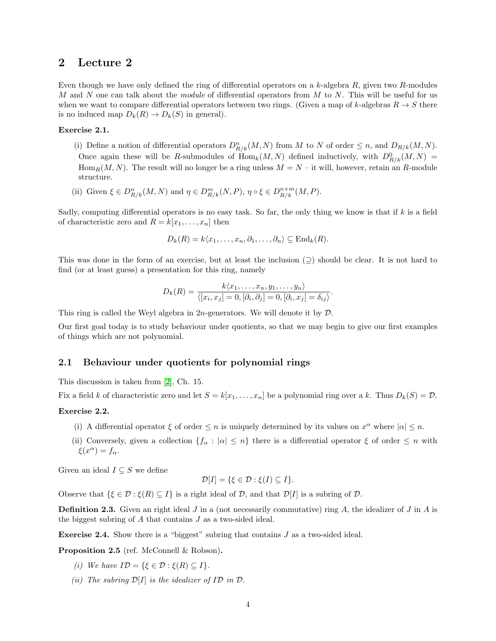Even though we have only defined the ring of differential operators on a  $k$ -algebra  $R$ , given two  $R$ -modules M and N one can talk about the module of differential operators from M to N. This will be useful for us when we want to compare differential operators between two rings. (Given a map of k-algebras  $R \to S$  there is no induced map  $D_k(R) \to D_k(S)$  in general).

#### Exercise 2.1.

(i) Define a notion of differential operators  $D_{R/k}^n(M, N)$  from M to N of order  $\leq n$ , and  $D_{R/k}(M, N)$ . Once again these will be R-submodules of  $\text{Hom}_k(M, N)$  defined inductively, with  $D^0_{R/k}(M, N) =$ Hom<sub>R</sub> $(M, N)$ . The result will no longer be a ring unless  $M = N - it$  will, however, retain an R-module structure.

(ii) Given  $\xi \in D_{R/k}^n(M, N)$  and  $\eta \in D_{R/k}^m(N, P)$ ,  $\eta \circ \xi \in D_{R/k}^{n+m}(M, P)$ .

Sadly, computing differential operators is no easy task. So far, the only thing we know is that if k is a field of characteristic zero and  $R = k[x_1, \ldots, x_n]$  then

$$
D_k(R) = k \langle x_1, \ldots, x_n, \partial_1, \ldots, \partial_n \rangle \subseteq \mathrm{End}_k(R).
$$

This was done in the form of an exercise, but at least the inclusion  $(2)$  should be clear. It is not hard to find (or at least guess) a presentation for this ring, namely

$$
D_k(R) = \frac{k\langle x_1,\ldots,x_n,y_1,\ldots,y_n\rangle}{\langle [x_i,x_j]=0,[\partial_i,\partial_j]=0,[\partial_i,x_j]=\delta_{ij}\rangle}.
$$

This ring is called the Weyl algebra in  $2n$ -generators. We will denote it by  $\mathcal{D}$ .

Our first goal today is to study behaviour under quotients, so that we may begin to give our first examples of things which are not polynomial.

#### 2.1 Behaviour under quotients for polynomial rings

This discussion is taken from [\[2\]](#page-15-1), Ch. 15.

Fix a field k of characteristic zero and let  $S = k[x_1, \ldots, x_n]$  be a polynomial ring over a k. Thus  $D_k(S) = \mathcal{D}$ .

#### <span id="page-3-0"></span>Exercise 2.2.

- (i) A differential operator  $\xi$  of order  $\leq n$  is uniquely determined by its values on  $x^{\alpha}$  where  $|\alpha| \leq n$ .
- (ii) Conversely, given a collection  $\{f_\alpha : |\alpha| \leq n\}$  there is a differential operator  $\xi$  of order  $\leq n$  with  $\xi(x^{\alpha}) = f_{\alpha}.$

Given an ideal  $I \subseteq S$  we define

$$
\mathcal{D}[I] = \{ \xi \in \mathcal{D} : \xi(I) \subseteq I \}.
$$

Observe that  $\{\xi \in \mathcal{D} : \xi(R) \subseteq I\}$  is a right ideal of  $\mathcal{D}$ , and that  $\mathcal{D}[I]$  is a subring of  $\mathcal{D}$ .

**Definition 2.3.** Given an right ideal J in a (not necessarily commutative) ring A, the idealizer of J in A is the biggest subring of A that contains J as a two-sided ideal.

Exercise 2.4. Show there is a "biggest" subring that contains J as a two-sided ideal.

Proposition 2.5 (ref. McConnell & Robson).

- (i) We have  $I\mathcal{D} = \{\xi \in \mathcal{D} : \xi(R) \subseteq I\}.$
- (ii) The subring  $\mathcal{D}[I]$  is the idealizer of ID in  $\mathcal{D}$ .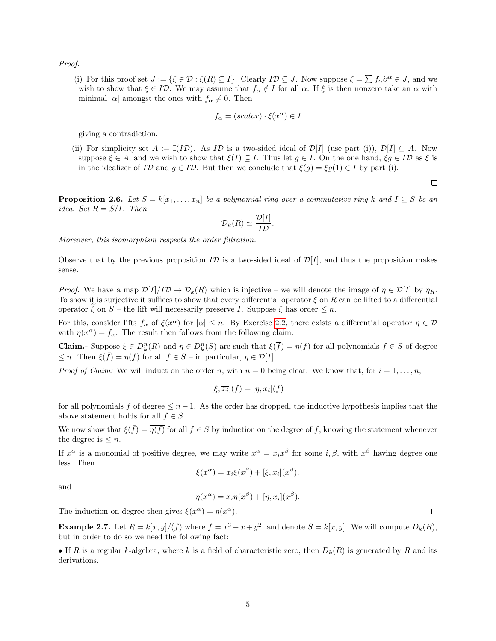Proof.

(i) For this proof set  $J := \{ \xi \in \mathcal{D} : \xi(R) \subseteq I \}$ . Clearly  $I\mathcal{D} \subseteq J$ . Now suppose  $\xi = \sum f_\alpha \partial^\alpha \in J$ , and we wish to show that  $\xi \in I\mathcal{D}$ . We may assume that  $f_{\alpha} \notin I$  for all  $\alpha$ . If  $\xi$  is then nonzero take an  $\alpha$  with minimal  $|\alpha|$  amongst the ones with  $f_{\alpha} \neq 0$ . Then

$$
f_{\alpha} = (scalar) \cdot \xi(x^{\alpha}) \in I
$$

giving a contradiction.

(ii) For simplicity set  $A := \mathbb{I}(ID)$ . As ID is a two-sided ideal of  $\mathcal{D}[I]$  (use part (i)),  $\mathcal{D}[I] \subset A$ . Now suppose  $\xi \in A$ , and we wish to show that  $\xi(I) \subseteq I$ . Thus let  $g \in I$ . On the one hand,  $\xi g \in I\mathcal{D}$  as  $\xi$  is in the idealizer of ID and  $g \in ID$ . But then we conclude that  $\xi(g) = \xi g(1) \in I$  by part (i).

 $\Box$ 

**Proposition 2.6.** Let  $S = k[x_1, \ldots, x_n]$  be a polynomial ring over a commutative ring k and  $I \subseteq S$  be an idea. Set  $R = S/I$ . Then

$$
\mathcal{D}_k(R) \simeq \frac{\mathcal{D}[I]}{I\mathcal{D}}.
$$

Moreover, this isomorphism respects the order filtration.

Observe that by the previous proposition  $I\mathcal{D}$  is a two-sided ideal of  $\mathcal{D}[I]$ , and thus the proposition makes sense.

*Proof.* We have a map  $\mathcal{D}[I]/I\mathcal{D} \to \mathcal{D}_k(R)$  which is injective – we will denote the image of  $\eta \in \mathcal{D}[I]$  by  $\eta_R$ . To show it is surjective it suffices to show that every differential operator  $\xi$  on R can be lifted to a differential operator  $\xi$  on  $S$  – the lift will necessarily preserve I. Suppose  $\xi$  has order  $\leq n$ .

For this, consider lifts  $f_\alpha$  of  $\xi(\overline{x^\alpha})$  for  $|\alpha| \leq n$ . By Exercise [2.2,](#page-3-0) there exists a differential operator  $\eta \in \mathcal{D}$ with  $\eta(x^{\alpha}) = f_{\alpha}$ . The result then follows from the following claim:

**Claim.**- Suppose  $\xi \in D_k^n(R)$  and  $\eta \in D_k^n(S)$  are such that  $\xi(\overline{f}) = \overline{\eta(f)}$  for all polynomials  $f \in S$  of degree  $\leq n$ . Then  $\xi(\bar{f}) = \overline{\eta(f)}$  for all  $f \in S$  – in particular,  $\eta \in \mathcal{D}[I]$ .

*Proof of Claim:* We will induct on the order n, with  $n = 0$  being clear. We know that, for  $i = 1, \ldots, n$ ,

$$
[\xi, \overline{x_i}](f) = \overline{[\eta, x_i](f)}
$$

for all polynomials f of degree  $\leq n-1$ . As the order has dropped, the inductive hypothesis implies that the above statement holds for all  $f \in S$ .

We now show that  $\xi(\bar{f}) = \overline{\eta(f)}$  for all  $f \in S$  by induction on the degree of f, knowing the statement whenever the degree is  $\leq n$ .

If  $x^{\alpha}$  is a monomial of positive degree, we may write  $x^{\alpha} = x_i x^{\beta}$  for some  $i, \beta$ , with  $x^{\beta}$  having degree one less. Then

$$
\xi(x^{\alpha}) = x_i \xi(x^{\beta}) + [\xi, x_i](x^{\beta}).
$$

and

$$
\eta(x^{\alpha}) = x_i \eta(x^{\beta}) + [\eta, x_i](x^{\beta}).
$$

The induction on degree then gives  $\xi(x^{\alpha}) = \eta(x^{\alpha})$ .

**Example 2.7.** Let  $R = k[x, y]/(f)$  where  $f = x^3 - x + y^2$ , and denote  $S = k[x, y]$ . We will compute  $D_k(R)$ , but in order to do so we need the following fact:

• If R is a regular k-algebra, where k is a field of characteristic zero, then  $D_k(R)$  is generated by R and its derivations.

 $\Box$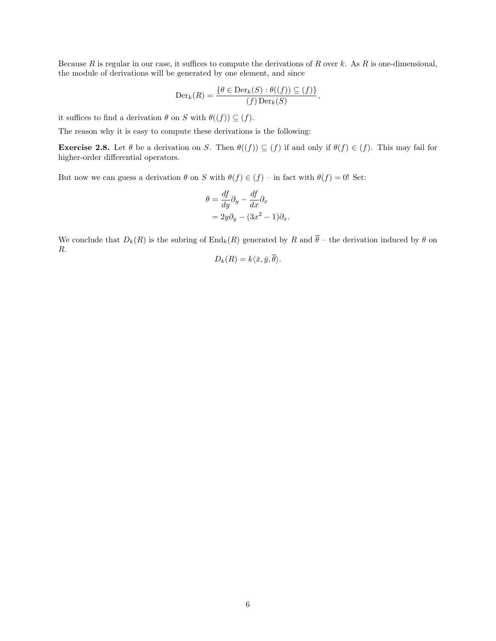Because R is regular in our case, it suffices to compute the derivations of R over k. As R is one-dimensional, the module of derivations will be generated by one element, and since

$$
\mathrm{Der}_k(R) = \frac{\{\theta \in \mathrm{Der}_k(S) : \theta((f)) \subseteq (f)\}}{(f) \mathrm{Der}_k(S)},
$$

it suffices to find a derivation  $\theta$  on S with  $\theta((f)) \subseteq (f)$ .

The reason why it is easy to compute these derivations is the following:

**Exercise 2.8.** Let  $\theta$  be a derivation on S. Then  $\theta((f)) \subseteq (f)$  if and only if  $\theta(f) \in (f)$ . This may fail for higher-order differential operators.

But now we can guess a derivation  $\theta$  on S with  $\theta(f) \in (f)$  – in fact with  $\theta(f) = 0!$  Set:

$$
\theta = \frac{df}{dy}\partial_y - \frac{df}{dx}\partial_x
$$
  
=  $2y\partial_y - (3x^2 - 1)\partial_x$ .

We conclude that  $D_k(R)$  is the subring of  $\text{End}_k(R)$  generated by R and  $\overline{\theta}$  – the derivation induced by  $\theta$  on R.

$$
D_k(R) = k\langle \bar{x}, \bar{y}, \theta \rangle.
$$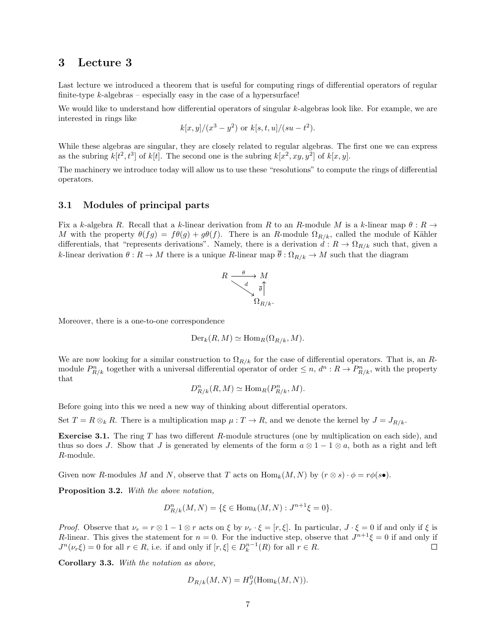Last lecture we introduced a theorem that is useful for computing rings of differential operators of regular finite-type  $k$ -algebras – especially easy in the case of a hypersurface!

We would like to understand how differential operators of singular k-algebras look like. For example, we are interested in rings like

$$
k[x, y]/(x^3 - y^2)
$$
 or  $k[s, t, u]/(su - t^2)$ .

While these algebras are singular, they are closely related to regular algebras. The first one we can express as the subring  $k[t^2, t^3]$  of  $k[t]$ . The second one is the subring  $k[x^2, xy, y^2]$  of  $k[x, y]$ .

The machinery we introduce today will allow us to use these "resolutions" to compute the rings of differential operators.

#### 3.1 Modules of principal parts

Fix a k-algebra R. Recall that a k-linear derivation from R to an R-module M is a k-linear map  $\theta : R \to$ M with the property  $\theta(fg) = f\theta(g) + g\theta(f)$ . There is an R-module  $\Omega_{R/k}$ , called the module of Kähler differentials, that "represents derivations". Namely, there is a derivation  $d: R \to \Omega_{R/k}$  such that, given a k-linear derivation  $\theta: R \to M$  there is a unique R-linear map  $\overline{\theta}: \Omega_{R/k} \to M$  such that the diagram

$$
R \xrightarrow{ \theta \qquad } M \\ \downarrow^d \overline{\theta} \Big\uparrow_{\Omega_{R/k}}.
$$

Moreover, there is a one-to-one correspondence

$$
\mathrm{Der}_k(R, M) \simeq \mathrm{Hom}_R(\Omega_{R/k}, M).
$$

We are now looking for a similar construction to  $\Omega_{R/k}$  for the case of differential operators. That is, an Rmodule  $P_{R/k}^n$  together with a universal differential operator of order  $\leq n$ ,  $d^n: R \to P_{R/k}^n$ , with the property that

$$
D_{R/k}^n(R, M) \simeq \text{Hom}_R(P_{R/k}^n, M).
$$

Before going into this we need a new way of thinking about differential operators.

Set  $T = R \otimes_k R$ . There is a multiplication map  $\mu : T \to R$ , and we denote the kernel by  $J = J_{R/k}$ .

**Exercise 3.1.** The ring  $T$  has two different  $R$ -module structures (one by multiplication on each side), and thus so does J. Show that J is generated by elements of the form  $a \otimes 1 - 1 \otimes a$ , both as a right and left R-module.

Given now R-modules M and N, observe that T acts on  $\text{Hom}_k(M, N)$  by  $(r \otimes s) \cdot \phi = r\phi(s\bullet)$ .

Proposition 3.2. With the above notation,

$$
D_{R/k}^n(M, N) = \{ \xi \in \text{Hom}_k(M, N) : J^{n+1} \xi = 0 \}.
$$

*Proof.* Observe that  $\nu_r = r \otimes 1 - 1 \otimes r$  acts on  $\xi$  by  $\nu_r \cdot \xi = [r, \xi]$ . In particular,  $J \cdot \xi = 0$  if and only if  $\xi$  is R-linear. This gives the statement for  $n = 0$ . For the inductive step, observe that  $J^{n+1}\xi = 0$  if and only if  $J^n(\nu_r \xi) = 0$  for all  $r \in R$ , i.e. if and only if  $[r, \xi] \in D_k^{n-1}(R)$  for all  $r \in R$ .  $\Box$ 

Corollary 3.3. With the notation as above,

$$
D_{R/k}(M, N) = H_J^0(\text{Hom}_k(M, N)).
$$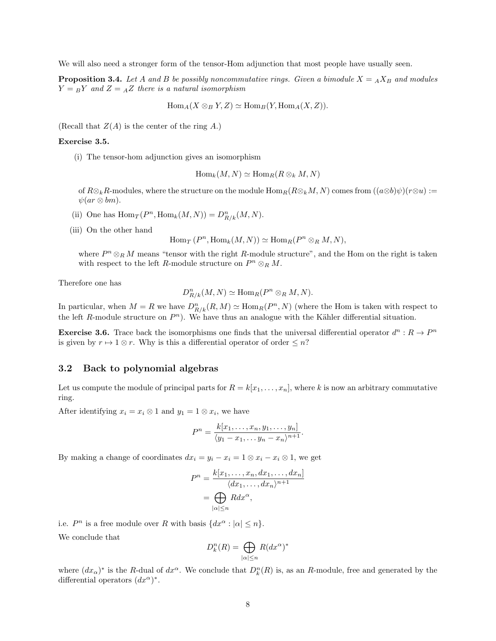We will also need a stronger form of the tensor-Hom adjunction that most people have usually seen.

**Proposition 3.4.** Let A and B be possibly noncommutative rings. Given a bimodule  $X = A X_B$  and modules  $Y = BY$  and  $Z = AZ$  there is a natural isomorphism

$$
\operatorname{Hom}_A(X \otimes_B Y, Z) \simeq \operatorname{Hom}_B(Y, \operatorname{Hom}_A(X, Z)).
$$

(Recall that  $Z(A)$  is the center of the ring A.)

#### Exercise 3.5.

(i) The tensor-hom adjunction gives an isomorphism

$$
\operatorname{Hom}_k(M, N) \simeq \operatorname{Hom}_R(R \otimes_k M, N)
$$

of  $R\otimes_k R$ -modules, where the structure on the module  $\text{Hom}_R(R\otimes_k M, N)$  comes from  $((a\otimes b)\psi)(r\otimes u) :=$  $\psi(ar\otimes bm).$ 

- (ii) One has  $\text{Hom}_T(P^n, \text{Hom}_k(M, N)) = D^n_{R/k}(M, N)$ .
- (iii) On the other hand

$$
\operatorname{Hom}_T(P^n, \operatorname{Hom}_k(M, N)) \simeq \operatorname{Hom}_R(P^n \otimes_R M, N),
$$

where  $P^n \otimes_R M$  means "tensor with the right R-module structure", and the Hom on the right is taken with respect to the left R-module structure on  $P^n \otimes_R M$ .

Therefore one has

$$
D_{R/k}^n(M, N) \simeq \text{Hom}_R(P^n \otimes_R M, N).
$$

In particular, when  $M = R$  we have  $D_{R/k}^n(R, M) \simeq \text{Hom}_R(P^n, N)$  (where the Hom is taken with respect to the left R-module structure on  $P<sup>n</sup>$ ). We have thus an analogue with the Kähler differential situation.

**Exercise 3.6.** Trace back the isomorphisms one finds that the universal differential operator  $d^n : R \to P^n$ is given by  $r \mapsto 1 \otimes r$ . Why is this a differential operator of order  $\leq n$ ?

#### 3.2 Back to polynomial algebras

Let us compute the module of principal parts for  $R = k[x_1, \ldots, x_n]$ , where k is now an arbitrary commutative ring.

After identifying  $x_i = x_i \otimes 1$  and  $y_1 = 1 \otimes x_i$ , we have

$$
P^n = \frac{k[x_1,\ldots,x_n,y_1,\ldots,y_n]}{\langle y_1-x_1,\ldots,y_n-x_n\rangle^{n+1}}.
$$

By making a change of coordinates  $dx_i = y_i - x_i = 1 \otimes x_i - x_i \otimes 1$ , we get

$$
P^n = \frac{k[x_1, \dots, x_n, dx_1, \dots, dx_n]}{\langle dx_1, \dots, dx_n \rangle^{n+1}}
$$

$$
= \bigoplus_{|\alpha| \le n} R dx^{\alpha},
$$

i.e.  $P^n$  is a free module over R with basis  $\{dx^\alpha : |\alpha| \leq n\}.$ We conclude that

$$
D^n_k(R) = \bigoplus_{|\alpha| \le n} R(dx^{\alpha})^*
$$

where  $(dx_{\alpha})^*$  is the R-dual of  $dx^{\alpha}$ . We conclude that  $D_k^n(R)$  is, as an R-module, free and generated by the differential operators  $(dx^{\alpha})^*$ .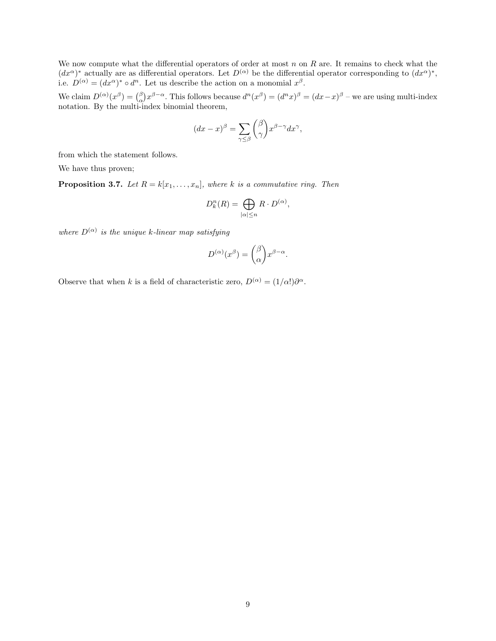We now compute what the differential operators of order at most  $n$  on  $R$  are. It remains to check what the  $(dx^{\alpha})^*$  actually are as differential operators. Let  $D^{(\alpha)}$  be the differential operator corresponding to  $(dx^{\alpha})^*$ , i.e.  $D^{(\alpha)} = (dx^{\alpha})^* \circ d^n$ . Let us describe the action on a monomial  $x^{\beta}$ .

We claim  $D^{(\alpha)}(x^{\beta}) = \binom{\beta}{\alpha} x^{\beta - \alpha}$ . This follows because  $d^n(x^{\beta}) = (d^n x)^{\beta} = (dx - x)^{\beta}$  – we are using multi-index notation. By the multi-index binomial theorem,

$$
(dx - x)^{\beta} = \sum_{\gamma \leq \beta} {\beta \choose \gamma} x^{\beta - \gamma} dx^{\gamma}
$$

,

from which the statement follows.

We have thus proven;

**Proposition 3.7.** Let  $R = k[x_1, \ldots, x_n]$ , where k is a commutative ring. Then

$$
D_k^n(R) = \bigoplus_{|\alpha| \le n} R \cdot D^{(\alpha)},
$$

where  $D^{(\alpha)}$  is the unique k-linear map satisfying

$$
D^{(\alpha)}(x^{\beta}) = {\beta \choose \alpha} x^{\beta - \alpha}.
$$

Observe that when k is a field of characteristic zero,  $D^{(\alpha)} = (1/\alpha!) \partial^{\alpha}$ .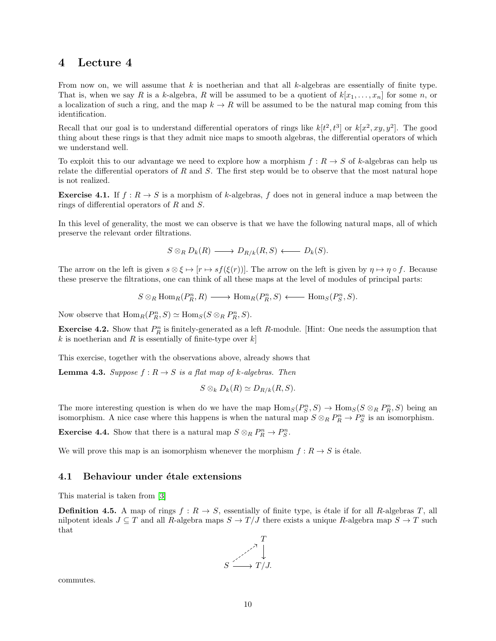From now on, we will assume that  $k$  is noetherian and that all  $k$ -algebras are essentially of finite type. That is, when we say R is a k-algebra, R will be assumed to be a quotient of  $k[x_1, \ldots, x_n]$  for some n, or a localization of such a ring, and the map  $k \to R$  will be assumed to be the natural map coming from this identification.

Recall that our goal is to understand differential operators of rings like  $k[t^2, t^3]$  or  $k[x^2, xy, y^2]$ . The good thing about these rings is that they admit nice maps to smooth algebras, the differential operators of which we understand well.

To exploit this to our advantage we need to explore how a morphism  $f: R \to S$  of k-algebras can help us relate the differential operators of  $R$  and  $S$ . The first step would be to observe that the most natural hope is not realized.

**Exercise 4.1.** If  $f: R \to S$  is a morphism of k-algebras, f does not in general induce a map between the rings of differential operators of R and S.

In this level of generality, the most we can observe is that we have the following natural maps, all of which preserve the relevant order filtrations.

 $S \otimes_R D_k(R) \longrightarrow D_{R/k}(R, S) \longleftarrow D_k(S).$ 

The arrow on the left is given  $s \otimes \xi \mapsto [r \mapsto sf(\xi(r))]$ . The arrow on the left is given by  $\eta \mapsto \eta \circ f$ . Because these preserve the filtrations, one can think of all these maps at the level of modules of principal parts:

$$
S \otimes_R \text{Hom}_R(P_R^n, R) \longrightarrow \text{Hom}_R(P_R^n, S) \longleftarrow \text{Hom}_S(P_S^n, S).
$$

Now observe that  $\text{Hom}_R(P_R^n, S) \simeq \text{Hom}_S(S \otimes_R P_R^n, S)$ .

**Exercise 4.2.** Show that  $P_R^n$  is finitely-generated as a left R-module. [Hint: One needs the assumption that k is noetherian and R is essentially of finite-type over  $k$ 

This exercise, together with the observations above, already shows that

<span id="page-9-0"></span>**Lemma 4.3.** Suppose  $f: R \to S$  is a flat map of k-algebras. Then

$$
S \otimes_k D_k(R) \simeq D_{R/k}(R, S).
$$

The more interesting question is when do we have the map  $\text{Hom}_S(P_S^n, S) \to \text{Hom}_S(S \otimes_R P_R^n, S)$  being an isomorphism. A nice case where this happens is when the natural map  $S \otimes_R P_R^n \to P_S^n$  is an isomorphism.

**Exercise 4.4.** Show that there is a natural map  $S \otimes_R P_R^n \to P_S^n$ .

We will prove this map is an isomorphism whenever the morphism  $f: R \to S$  is étale.

#### 4.1 Behaviour under étale extensions

This material is taken from [\[3\]](#page-15-2)

**Definition 4.5.** A map of rings  $f : R \to S$ , essentially of finite type, is étale if for all R-algebras T, all nilpotent ideals  $J \subseteq T$  and all R-algebra maps  $S \to T/J$  there exists a unique R-algebra map  $S \to T$  such that



commutes.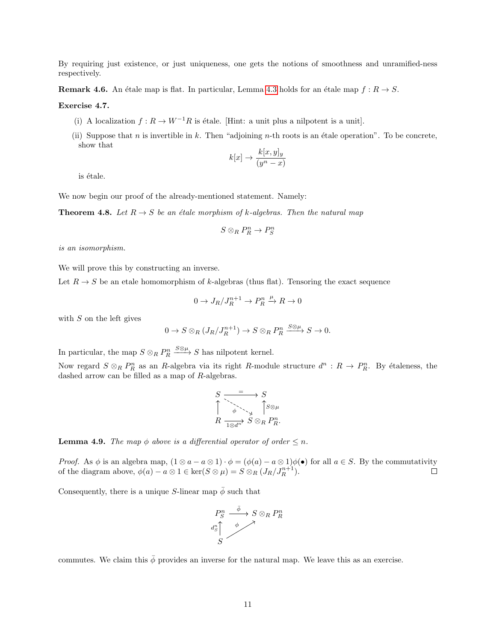By requiring just existence, or just uniqueness, one gets the notions of smoothness and unramified-ness respectively.

<span id="page-10-1"></span>**Remark 4.6.** An étale map is flat. In particular, Lemma [4.3](#page-9-0) holds for an étale map  $f : R \to S$ .

Exercise 4.7.

- (i) A localization  $f : R \to W^{-1}R$  is étale. [Hint: a unit plus a nilpotent is a unit].
- (ii) Suppose that n is invertible in k. Then "adjoining n-th roots is an étale operation". To be concrete, show that

$$
k[x] \to \frac{k[x,y]_y}{(y^n - x)}
$$

is étale.

We now begin our proof of the already-mentioned statement. Namely:

<span id="page-10-0"></span>**Theorem 4.8.** Let  $R \rightarrow S$  be an étale morphism of k-algebras. Then the natural map

$$
S\otimes_R P_R^n\to P_S^n
$$

is an isomorphism.

We will prove this by constructing an inverse.

Let  $R \to S$  be an etale homomorphism of k-algebras (thus flat). Tensoring the exact sequence

$$
0 \to J_R/J_R^{n+1} \to P_R^n \xrightarrow{\mu} R \to 0
$$

with  $S$  on the left gives

$$
0 \to S \otimes_R (J_R/J_R^{n+1}) \to S \otimes_R P_R^n \xrightarrow{S \otimes \mu} S \to 0.
$$

In particular, the map  $S \otimes_R P_R^n$  $\xrightarrow{S\otimes\mu} S$  has nilpotent kernel.

Now regard  $S \otimes_R P_R^n$  as an R-algebra via its right R-module structure  $d^n : R \to P_R^n$ . By étaleness, the dashed arrow can be filled as a map of  $R$ -algebras.

S S R S ⊗<sup>R</sup> P n R. = φ 1⊗d n S⊗µ

**Lemma 4.9.** The map  $\phi$  above is a differential operator of order  $\leq n$ .

*Proof.* As  $\phi$  is an algebra map,  $(1 \otimes a - a \otimes 1) \cdot \phi = (\phi(a) - a \otimes 1)\phi(\bullet)$  for all  $a \in S$ . By the commutativity of the diagram above,  $\phi(a) - a \otimes 1 \in \ker(S \otimes \mu) = S \otimes_R (J_R / J_R^{n+1}).$  $\Box$ 

Consequently, there is a unique S-linear map  $\bar{\phi}$  such that

$$
\begin{array}{ccc}\nP^n_S & \xrightarrow{\bar{\phi}} & S \otimes_R P^n_R \\
\downarrow{d^n_S} & & \nearrow & \\
S & & & \n\end{array}
$$

commutes. We claim this  $\bar{\phi}$  provides an inverse for the natural map. We leave this as an exercise.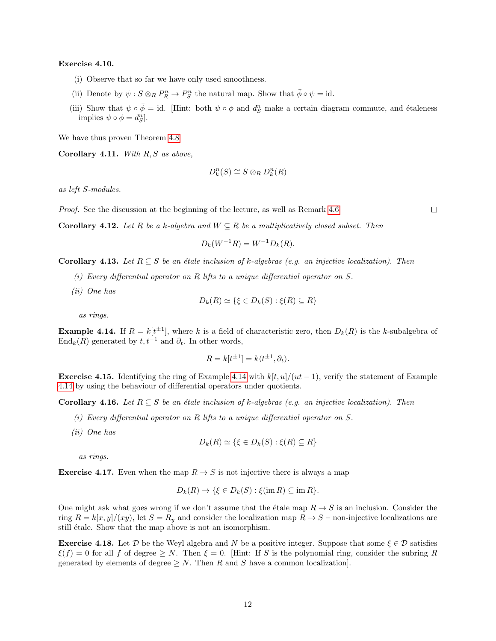#### Exercise 4.10.

- (i) Observe that so far we have only used smoothness.
- (ii) Denote by  $\psi : S \otimes_R P_R^n \to P_S^n$  the natural map. Show that  $\bar{\phi} \circ \psi = id$ .
- (iii) Show that  $\psi \circ \bar{\phi} = id$ . [Hint: both  $\psi \circ \phi$  and  $d_S^n$  make a certain diagram commute, and étaleness implies  $\psi \circ \phi = d_S^n$ .

We have thus proven Theorem [4.8](#page-10-0)

Corollary 4.11. With  $R, S$  as above,

$$
D_k^n(S) \cong S \otimes_R D_k^n(R)
$$

as left S-modules.

Proof. See the discussion at the beginning of the lecture, as well as Remark [4.6](#page-10-1)

Corollary 4.12. Let R be a k-algebra and  $W \subseteq R$  be a multiplicatively closed subset. Then

$$
D_k(W^{-1}R) = W^{-1}D_k(R).
$$

#### **Corollary 4.13.** Let  $R \subseteq S$  be an étale inclusion of k-algebras (e.g. an injective localization). Then

- (i) Every differential operator on R lifts to a unique differential operator on  $S$ .
- (ii) One has

$$
D_k(R) \simeq \{ \xi \in D_k(S) : \xi(R) \subseteq R \}
$$

as rings.

<span id="page-11-0"></span>**Example 4.14.** If  $R = k[t^{\pm 1}]$ , where k is a field of characteristic zero, then  $D_k(R)$  is the k-subalgebra of End<sub>k</sub>(R) generated by  $t, t^{-1}$  and  $\partial_t$ . In other words,

$$
R = k[t^{\pm 1}] = k \langle t^{\pm 1}, \partial_t \rangle.
$$

**Exercise 4.15.** Identifying the ring of Example [4.14](#page-11-0) with  $k[t, u]/(ut - 1)$ , verify the statement of Example [4.14](#page-11-0) by using the behaviour of differential operators under quotients.

**Corollary 4.16.** Let  $R \subseteq S$  be an étale inclusion of k-algebras (e.g. an injective localization). Then

- (i) Every differential operator on R lifts to a unique differential operator on  $S$ .
- (ii) One has

$$
D_k(R) \simeq \{ \xi \in D_k(S) : \xi(R) \subseteq R \}
$$

as rings.

**Exercise 4.17.** Even when the map  $R \to S$  is not injective there is always a map

$$
D_k(R) \to \{\xi \in D_k(S) : \xi(\text{im } R) \subseteq \text{im } R\}.
$$

One might ask what goes wrong if we don't assume that the étale map  $R \to S$  is an inclusion. Consider the ring  $R = k[x, y]/(xy)$ , let  $S = R_y$  and consider the localization map  $R \to S$  – non-injective localizations are still étale. Show that the map above is not an isomorphism.

**Exercise 4.18.** Let D be the Weyl algebra and N be a positive integer. Suppose that some  $\xi \in \mathcal{D}$  satisfies  $\xi(f) = 0$  for all f of degree  $\geq N$ . Then  $\xi = 0$ . [Hint: If S is the polynomial ring, consider the subring R generated by elements of degree  $\geq N$ . Then R and S have a common localization.

 $\Box$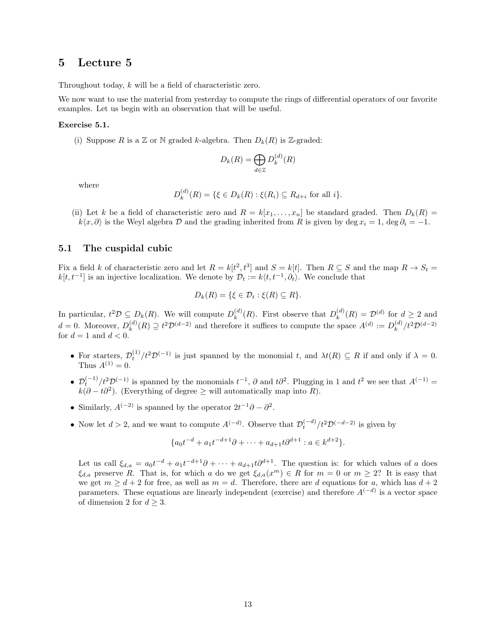Throughout today, k will be a field of characteristic zero.

We now want to use the material from yesterday to compute the rings of differential operators of our favorite examples. Let us begin with an observation that will be useful.

#### Exercise 5.1.

(i) Suppose R is a Z or N graded k-algebra. Then  $D_k(R)$  is Z-graded:

$$
D_k(R) = \bigoplus_{d \in \mathbb{Z}} D_k^{(d)}(R)
$$

where

$$
D_k^{(d)}(R) = \{ \xi \in D_k(R) : \xi(R_i) \subseteq R_{d+i} \text{ for all } i \}.
$$

(ii) Let k be a field of characteristic zero and  $R = k[x_1, \ldots, x_n]$  be standard graded. Then  $D_k(R)$  $k\langle x,\partial \rangle$  is the Weyl algebra D and the grading inherited from R is given by deg  $x_i = 1$ , deg  $\partial_i = -1$ .

#### 5.1 The cuspidal cubic

Fix a field k of characteristic zero and let  $R = k[t^2, t^3]$  and  $S = k[t]$ . Then  $R \subseteq S$  and the map  $R \to S_t =$  $k[t, t^{-1}]$  is an injective localization. We denote by  $\mathcal{D}_t := k(t, t^{-1}, \partial_t)$ . We conclude that

$$
D_k(R) = \{ \xi \in \mathcal{D}_t : \xi(R) \subseteq R \}.
$$

In particular,  $t^2 \mathcal{D} \subseteq D_k(R)$ . We will compute  $D_k^{(d)}$  $k^{(d)}(R)$ . First observe that  $D_k^{(d)}$  $\mathcal{L}_{k}^{(d)}(R) = \mathcal{D}^{(d)}$  for  $d \geq 2$  and  $d=0$ . Moreover,  $D_k^{(d)}$  $k_k^{(d)}(R) \supseteq t^2 \mathcal{D}^{(d-2)}$  and therefore it suffices to compute the space  $A^{(d)} := D_k^{(d)}$  $k^{(d)}/t^2\mathcal{D}^{(d-2)}$ for  $d = 1$  and  $d < 0$ .

- For starters,  $\mathcal{D}_t^{(1)}/t^2\mathcal{D}^{(-1)}$  is just spanned by the monomial t, and  $\lambda t(R) \subseteq R$  if and only if  $\lambda = 0$ . Thus  $A^{(1)} = 0$ .
- $\mathcal{D}_t^{(-1)}/t^2\mathcal{D}_t^{(-1)}$  is spanned by the monomials  $t^{-1}$ ,  $\partial$  and  $t\partial^2$ . Plugging in 1 and  $t^2$  we see that  $A_t^{(-1)}$  =  $k(\partial - t\partial^2)$ . (Everything of degree  $\geq$  will automatically map into R).
- Similarly,  $A^{(-2)}$  is spanned by the operator  $2t^{-1}\partial \partial^2$ .
- Now let  $d > 2$ , and we want to compute  $A^{(-d)}$ . Observe that  $\mathcal{D}_{t}^{(-d)}/t^2 \mathcal{D}^{(-d-2)}$  is given by

$$
\{a_0t^{-d} + a_1t^{-d+1}\partial + \dots + a_{d+1}t\partial^{d+1} : a \in k^{d+2}\}.
$$

Let us call  $\xi_{d,a} = a_0 t^{-d} + a_1 t^{-d+1} \partial + \cdots + a_{d+1} t \partial^{d+1}$ . The question is: for which values of a does  $\xi_{d,a}$  preserve R. That is, for which a do we get  $\xi_{d,a}(x^m) \in R$  for  $m = 0$  or  $m \geq 2$ ? It is easy that we get  $m \geq d+2$  for free, as well as  $m = d$ . Therefore, there are d equations for a, which has  $d+2$ parameters. These equations are linearly independent (exercise) and therefore  $A^{(-d)}$  is a vector space of dimension 2 for  $d \geq 3$ .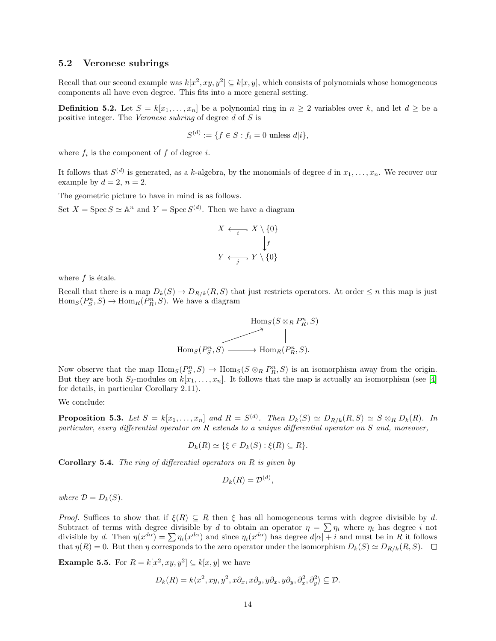#### 5.2 Veronese subrings

Recall that our second example was  $k[x^2, xy, y^2] \subseteq k[x, y]$ , which consists of polynomials whose homogeneous components all have even degree. This fits into a more general setting.

**Definition 5.2.** Let  $S = k[x_1, \ldots, x_n]$  be a polynomial ring in  $n \geq 2$  variables over k, and let  $d \geq$  be a positive integer. The Veronese subring of degree d of S is

$$
S^{(d)} := \{ f \in S : f_i = 0 \text{ unless } d|i \},
$$

where  $f_i$  is the component of  $f$  of degree  $i$ .

It follows that  $S^{(d)}$  is generated, as a k-algebra, by the monomials of degree d in  $x_1, \ldots, x_n$ . We recover our example by  $d = 2$ ,  $n = 2$ .

The geometric picture to have in mind is as follows.

Set  $X = \text{Spec } S \simeq \mathbb{A}^n$  and  $Y = \text{Spec } S^{(d)}$ . Then we have a diagram

$$
X \xleftarrow{i} X \setminus \{0\}
$$

$$
\downarrow f
$$

$$
Y \xleftarrow{j} Y \setminus \{0\}
$$

where  $f$  is étale.

Recall that there is a map  $D_k(S) \to D_{R/k}(R, S)$  that just restricts operators. At order  $\leq n$  this map is just  $\text{Hom}_S(P_S^n, S) \to \text{Hom}_R(P_R^n, S)$ . We have a diagram



Now observe that the map  $\text{Hom}_S(P_S^n, S) \to \text{Hom}_S(S \otimes_R P_R^n, S)$  is an isomorphism away from the origin. But they are both  $S_2$ -modules on  $k[x_1, \ldots, x_n]$ . It follows that the map is actually an isomorphism (see [\[4\]](#page-15-3) for details, in particular Corollary 2.11).

We conclude:

**Proposition 5.3.** Let  $S = k[x_1, \ldots, x_n]$  and  $R = S^{(d)}$ . Then  $D_k(S) \simeq D_{R/k}(R, S) \simeq S \otimes_R D_k(R)$ . In particular, every differential operator on R extends to a unique differential operator on S and, moreover,

$$
D_k(R) \simeq \{ \xi \in D_k(S) : \xi(R) \subseteq R \}.
$$

**Corollary 5.4.** The ring of differential operators on  $R$  is given by

$$
D_k(R) = \mathcal{D}^{(d)},
$$

where  $\mathcal{D} = D_k(S)$ .

*Proof.* Suffices to show that if  $\xi(R) \subseteq R$  then  $\xi$  has all homogeneous terms with degree divisible by d. Subtract of terms with degree divisible by d to obtain an operator  $\eta = \sum \eta_i$  where  $\eta_i$  has degree i not divisible by d. Then  $\eta(x^{d\alpha}) = \sum_{i} \eta_i(x^{d\alpha})$  and since  $\eta_i(x^{d\alpha})$  has degree  $d|\alpha| + i$  and must be in R it follows that  $\eta(R) = 0$ . But then  $\eta$  corresponds to the zero operator under the isomorphism  $D_k(S) \simeq D_{R/k}(R, S)$ .  $\Box$ 

**Example 5.5.** For  $R = k[x^2, xy, y^2] \subseteq k[x, y]$  we have

$$
D_k(R) = k \langle x^2, xy, y^2, x \partial_x, x \partial_y, y \partial_x, y \partial_y, \partial_x^2, \partial_y^2 \rangle \subseteq \mathcal{D}.
$$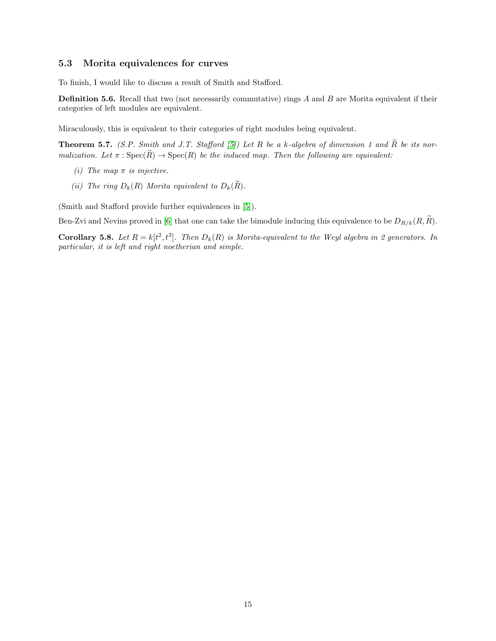### 5.3 Morita equivalences for curves

To finish, I would like to discuss a result of Smith and Stafford.

**Definition 5.6.** Recall that two (not necessarily commutative) rings  $A$  and  $B$  are Morita equivalent if their categories of left modules are equivalent.

Miraculously, this is equivalent to their categories of right modules being equivalent.

**Theorem 5.7.** (S.P. Smith and J.T. Stafford [\[5\]](#page-15-4)) Let R be a k-algebra of dimension 1 and  $\widetilde{R}$  be its normalization. Let  $\pi : \text{Spec}(\widetilde{R}) \to \text{Spec}(R)$  be the induced map. Then the following are equivalent:

- (i) The map  $\pi$  is injective.
- (ii) The ring  $D_k(R)$  Morita equivalent to  $D_k(\widetilde{R})$ .

(Smith and Stafford provide further equivalences in [\[5\]](#page-15-4)).

Ben-Zvi and Nevins proved in [\[6\]](#page-15-5) that one can take the bimodule inducing this equivalence to be  $D_{R/k}(R, \tilde{R})$ .

**Corollary 5.8.** Let  $R = k[t^2, t^3]$ . Then  $D_k(R)$  is Morita-equivalent to the Weyl algebra in 2 generators. In particular, it is left and right noetherian and simple.